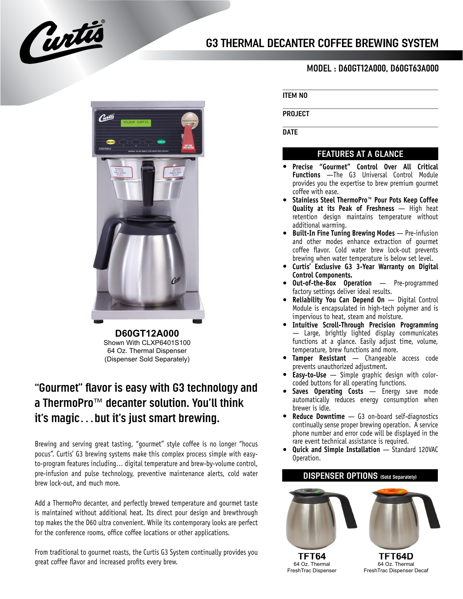



**D60GT12A000** Shown With CLXP6401S100 64 Oz. Thermal Dispenser (Dispenser Sold Separately)

## "Gourmet" flavor is easy with G3 technology and a ThermoPro™ decanter solution. You'll think it's magic…but it's just smart brewing.

Brewing and serving great tasting, "gourmet" style coffee is no longer "hocus pocus". Curtis' G3 brewing systems make this complex process simple with easyto-program features including… digital temperature and brew-by-volume control, pre-infusion and pulse technology, preventive maintenance alerts, cold water brew lock-out, and much more.

Add a ThermoPro decanter, and perfectly brewed temperature and gourmet taste is maintained without additional heat. Its direct pour design and brewthrough top makes the the D60 ultra convenient. While its contemporary looks are perfect for the conference rooms, office coffee locations or other applications.

From traditional to gourmet roasts, the Curtis G3 System continually provides you great coffee flavor and increased profits every brew.

## MODEL : D60GT12A000, D60GT63A000

ITEM NO

PROJECT

**DATE** 

## FEATURES AT A GLANCE

- **Precise "Gourmet" Control Over All Critical Functions** —The G3 Universal Control Module provides you the expertise to brew premium gourmet coffee with ease. **•**
- **Stainless Steel ThermoPro™ Pour Pots Keep Coffee Quality at its Peak of Freshness** — High heat retention design maintains temperature without additional warming. **•**
- **Built-In Fine Tuning Brewing Modes** Pre-infusion **•** and other modes enhance extraction of gourmet coffee flavor. Cold water brew lock-out prevents brewing when water temperature is below set level.
- **Curtis' Exclusive G3 3-Year Warranty on Digital • Control Components.**
- **Out-of-the-Box Operation** Pre-programmed factory settings deliver ideal results. **•**
- **Reliability You Can Depend On** Digital Control Module is encapsulated in high-tech polymer and is impervious to heat, steam and moisture. **•**
- **Intuitive Scroll-Through Precision Programming •** — Large, brightly lighted display communicates functions at a glance. Easily adjust time, volume, temperature, brew functions and more.
- **Tamper Resistant** Changeable access code **•** prevents unauthorized adjustment.
- **Easy-to-Use** Simple graphic design with color-**•** coded buttons for all operating functions.
- **Saves Operating Costs** Energy save mode automatically reduces energy consumption when brewer is idle. **•**
- **Reduce Downtime** G3 on-board self-diagnostics **•** continually sense proper brewing operation. A service phone number and error code will be displayed in the rare event technical assistance is required.
- **Quick and Simple Installation** Standard 120VAC Operation. **•**



FreshTrac Dispenser Decaf

FreshTrac Dispenser